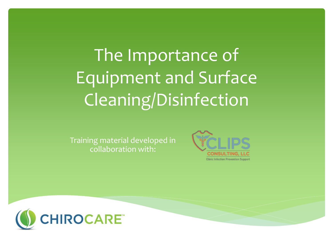# The Importance of Equipment and Surface Cleaning/Disinfection

Training material developed in collaboration with:



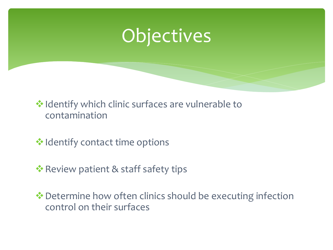

❖Identify which clinic surfaces are vulnerable to contamination

**❖ Identify contact time options** 

**• Review patient & staff safety tips** 

❖Determine how often clinics should be executing infection control on their surfaces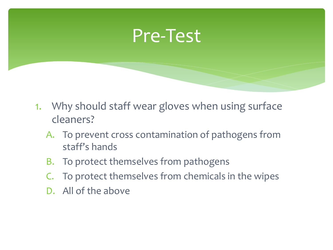### Pre-Test

- 1. Why should staff wear gloves when using surface cleaners?
	- A. To prevent cross contamination of pathogens from staff's hands
	- B. To protect themselves from pathogens
	- C. To protect themselves from chemicals in the wipes
	- D. All of the above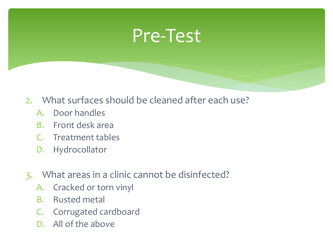## Pre-Test

- 2. What surfaces should be cleaned after each use?
	- A. Door handles
	- B. Front desk area
	- C. Treatment tables
	- D. Hydrocollator
- 3. What areas in a clinic cannot be disinfected?
	- A. Cracked or torn vinyl
	- B. Rusted metal
	- C. Corrugated cardboard
	- D. All of the above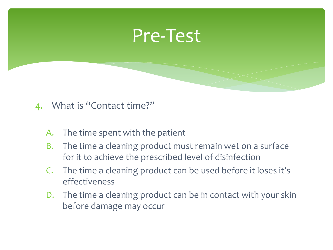### Pre-Test

#### 4. What is "Contact time?"

- A. The time spent with the patient
- B. The time a cleaning product must remain wet on a surface for it to achieve the prescribed level of disinfection
- C. The time a cleaning product can be used before it loses it's effectiveness
- D. The time a cleaning product can be in contact with your skin before damage may occur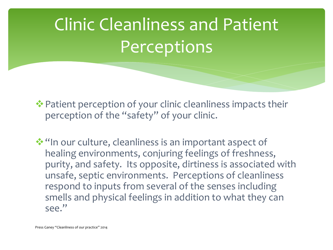# Clinic Cleanliness and Patient Perceptions

❖Patient perception of your clinic cleanliness impacts their perception of the "safety" of your clinic.

❖"In our culture, cleanliness is an important aspect of healing environments, conjuring feelings of freshness, purity, and safety. Its opposite, dirtiness is associated with unsafe, septic environments. Perceptions of cleanliness respond to inputs from several of the senses including smells and physical feelings in addition to what they can see."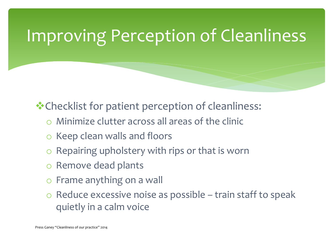## Improving Perception of Cleanliness

❖Checklist for patient perception of cleanliness:

- Minimize clutter across all areas of the clinic
- o Keep clean walls and floors
- o Repairing upholstery with rips or that is worn
- o Remove dead plants
- o Frame anything on a wall
- $\circ$  Reduce excessive noise as possible train staff to speak quietly in a calm voice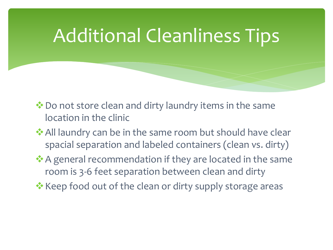## Additional Cleanliness Tips

- ❖Do not store clean and dirty laundry items in the same location in the clinic
- ❖All laundry can be in the same room but should have clear spacial separation and labeled containers (clean vs. dirty)
- ★A general recommendation if they are located in the same room is 3-6 feet separation between clean and dirty
- ❖Keep food out of the clean or dirty supply storage areas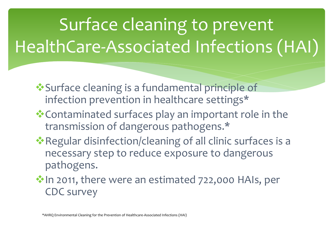# Surface cleaning to prevent HealthCare-Associated Infections (HAI)

- ❖Surface cleaning is a fundamental principle of infection prevention in healthcare settings\*
- ❖Contaminated surfaces play an important role in the transmission of dangerous pathogens.\*
- ❖Regular disinfection/cleaning of all clinic surfaces is a necessary step to reduce exposure to dangerous pathogens.
- in 2011, there were an estimated 722,000 HAIs, per CDC survey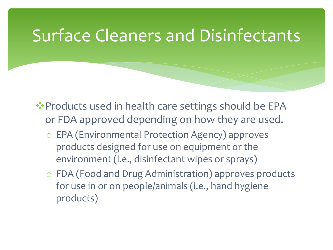#### Surface Cleaners and Disinfectants

❖Products used in health care settings should be EPA or FDA approved depending on how they are used.

- o EPA (Environmental Protection Agency) approves products designed for use on equipment or the environment (i.e., disinfectant wipes or sprays)
- o FDA (Food and Drug Administration) approves products for use in or on people/animals (i.e., hand hygiene products)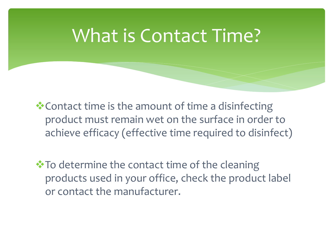## What is Contact Time?

❖Contact time is the amount of time a disinfecting product must remain wet on the surface in order to achieve efficacy (effective time required to disinfect)

❖To determine the contact time of the cleaning products used in your office, check the product label or contact the manufacturer.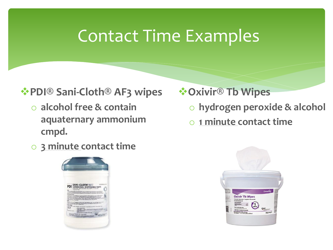#### Contact Time Examples

#### ❖**PDI® Sani-Cloth® AF3 wipes**

- o **alcohol free & contain aquaternary ammonium cmpd.**
- o **3 minute contact time**



- ❖**Oxivir® Tb Wipes** 
	- o **hydrogen peroxide & alcohol**
	- o **1 minute contact time**

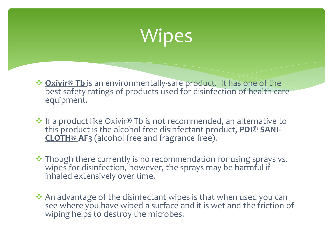## **Wipes**

❖ **Oxivir® Tb** is an environmentally-safe product. It has one of the best safety ratings of products used for disinfection of health care equipment.

 $\cdot$  If a product like Oxivir® Tb is not recommended, an alternative to this product is the alcohol free disinfectant product, **PDI® SANI-CLOTH® AF3** (alcohol free and fragrance free).

❖ Though there currently is no recommendation for using sprays vs. wipes for disinfection, however, the sprays may be harmful if inhaled extensively over time.

❖ An advantage of the disinfectant wipes is that when used you can see where you have wiped a surface and it is wet and the friction of wiping helps to destroy the microbes.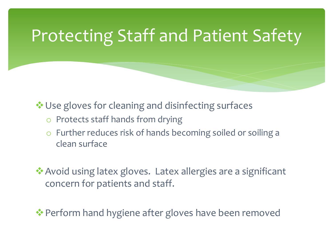## Protecting Staff and Patient Safety

❖Use gloves for cleaning and disinfecting surfaces

- o Protects staff hands from drying
- o Further reduces risk of hands becoming soiled or soiling a clean surface

❖Avoid using latex gloves. Latex allergies are a significant concern for patients and staff.

• Perform hand hygiene after gloves have been removed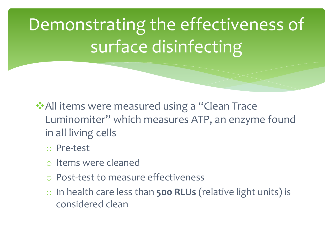Demonstrating the effectiveness of surface disinfecting

❖All items were measured using a "Clean Trace Luminomiter" which measures ATP, an enzyme found in all living cells

o Pre-test

- o Items were cleaned
- o Post-test to measure effectiveness
- o In health care less than **500 RLUs** (relative light units) is considered clean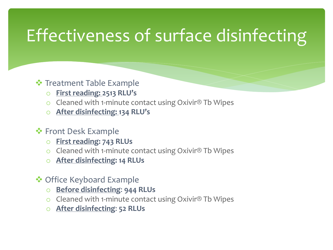## Effectiveness of surface disinfecting

❖ Treatment Table Example

- o **First reading: 2513 RLU's**
- o Cleaned with 1-minute contact using Oxivir® Tb Wipes
- o **After disinfecting: 134 RLU's**
- ❖ Front Desk Example
	- o **First reading: 743 RLUs**
	- o Cleaned with 1-minute contact using Oxivir® Tb Wipes
	- o **After disinfecting: 14 RLUs**
- ❖ Office Keyboard Example
	- o **Before disinfecting**: **944 RLUs**
	- o Cleaned with 1-minute contact using Oxivir® Tb Wipes
	- o **After disinfecting**: **52 RLUs**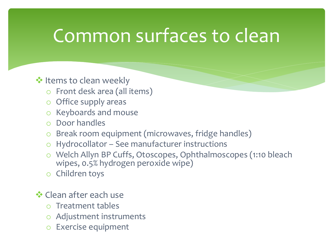## Common surfaces to clean

#### ❖ Items to clean weekly

- o Front desk area (all items)
- o Office supply areas
- o Keyboards and mouse
- o Door handles
- o Break room equipment (microwaves, fridge handles)
- $\circ$  Hydrocollator See manufacturer instructions
- o Welch Allyn BP Cuffs, Otoscopes, Ophthalmoscopes (1:10 bleach wipes, 0.5% hydrogen peroxide wipe)
- o Children toys
- ❖ Clean after each use
	- o Treatment tables
	- o Adjustment instruments
	- o Exercise equipment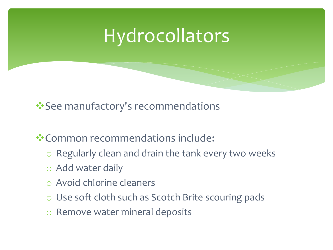## **Hydrocollators**

❖See manufactory's recommendations

❖Common recommendations include:

- o Regularly clean and drain the tank every two weeks
- o Add water daily
- o Avoid chlorine cleaners
- o Use soft cloth such as Scotch Brite scouring pads
- o Remove water mineral deposits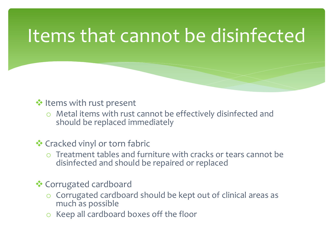## Items that cannot be disinfected

#### ❖ Items with rust present

o Metal items with rust cannot be effectively disinfected and should be replaced immediately

#### ❖ Cracked vinyl or torn fabric

o Treatment tables and furniture with cracks or tears cannot be disinfected and should be repaired or replaced

#### ❖ Corrugated cardboard

- o Corrugated cardboard should be kept out of clinical areas as much as possible
- o Keep all cardboard boxes off the floor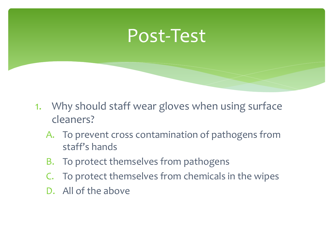#### Post-Test

- 1. Why should staff wear gloves when using surface cleaners?
	- A. To prevent cross contamination of pathogens from staff's hands
	- B. To protect themselves from pathogens
	- C. To protect themselves from chemicals in the wipes
	- D. All of the above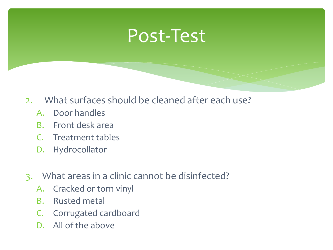### Post-Test

- 2. What surfaces should be cleaned after each use?
	- A. Door handles
	- B. Front desk area
	- C. Treatment tables
	- D. Hydrocollator
- 3. What areas in a clinic cannot be disinfected?
	- A. Cracked or torn vinyl
	- B. Rusted metal
	- C. Corrugated cardboard
	- D. All of the above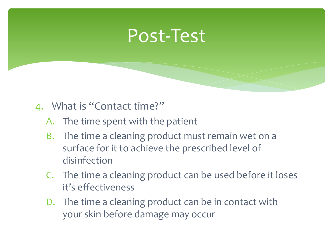#### Post-Test

#### 4. What is "Contact time?"

- A. The time spent with the patient
- B. The time a cleaning product must remain wet on a surface for it to achieve the prescribed level of disinfection
- C. The time a cleaning product can be used before it loses it's effectiveness
- D. The time a cleaning product can be in contact with your skin before damage may occur